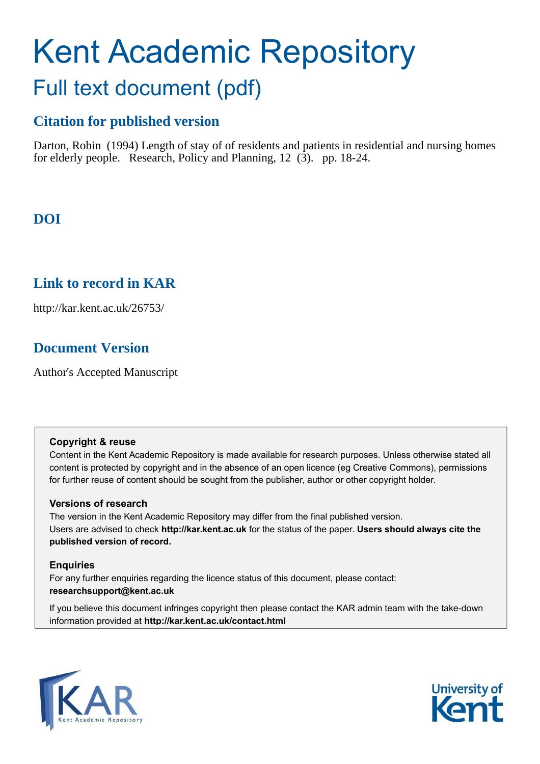# Kent Academic Repository Full text document (pdf)

# **Citation for published version**

Darton, Robin (1994) Length of stay of of residents and patients in residential and nursing homes for elderly people. Research, Policy and Planning,  $12$   $(3)$ . pp. 18-24.

# **DOI**

# **Link to record in KAR**

http://kar.kent.ac.uk/26753/

# **Document Version**

Author's Accepted Manuscript

# **Copyright & reuse**

Content in the Kent Academic Repository is made available for research purposes. Unless otherwise stated all content is protected by copyright and in the absence of an open licence (eg Creative Commons), permissions for further reuse of content should be sought from the publisher, author or other copyright holder.

# **Versions of research**

The version in the Kent Academic Repository may differ from the final published version. Users are advised to check **http://kar.kent.ac.uk** for the status of the paper. **Users should always cite the published version of record.**

# **Enquiries**

For any further enquiries regarding the licence status of this document, please contact: **researchsupport@kent.ac.uk**

If you believe this document infringes copyright then please contact the KAR admin team with the take-down information provided at **http://kar.kent.ac.uk/contact.html**



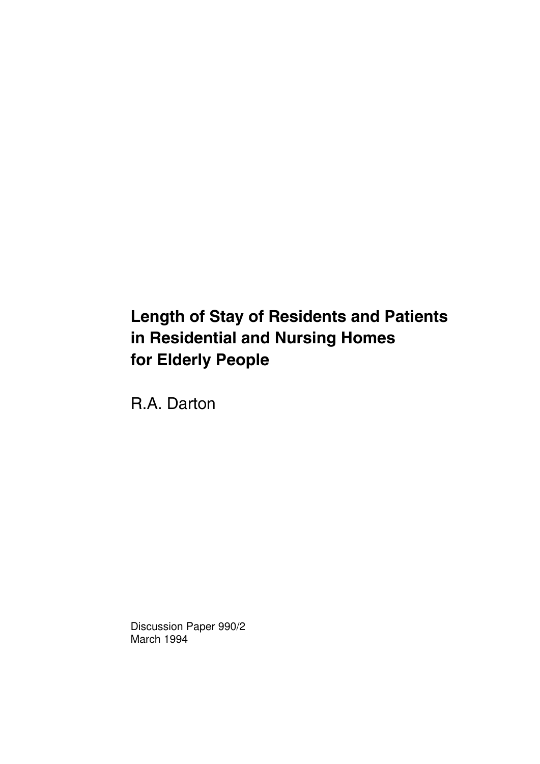# **Length of Stay of Residents and Patients in Residential and Nursing Homes for Elderly People**

R.A. Darton

Discussion Paper 990/2 March 1994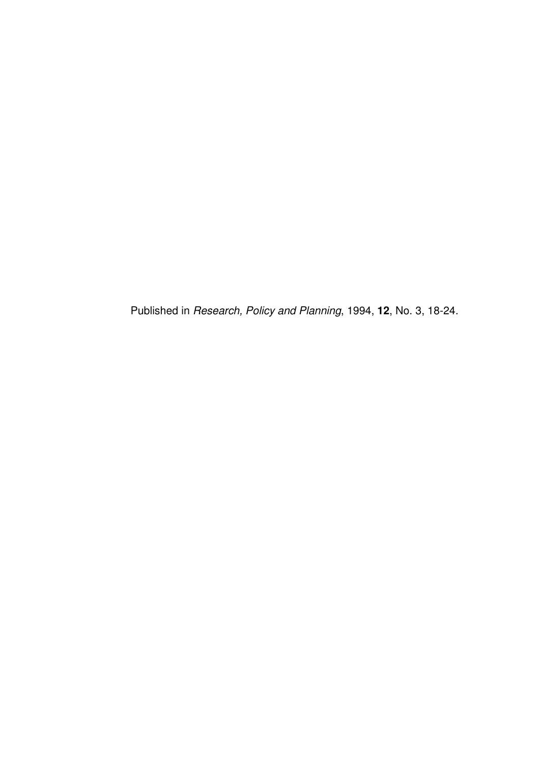Published in *Research, Policy and Planning*, 1994, **12**, No. 3, 18-24.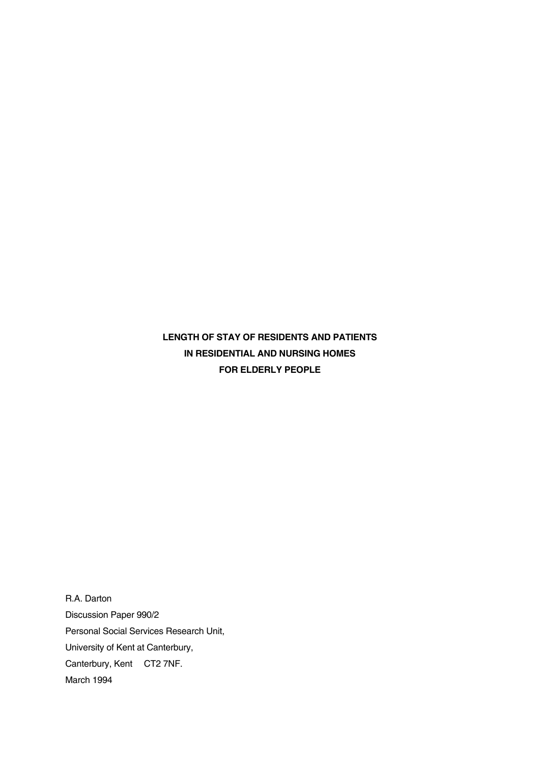**LENGTH OF STAY OF RESIDENTS AND PATIENTS IN RESIDENTIAL AND NURSING HOMES FOR ELDERLY PEOPLE** 

R.A. Darton Discussion Paper 990/2 Personal Social Services Research Unit, University of Kent at Canterbury, Canterbury, Kent CT2 7NF. March 1994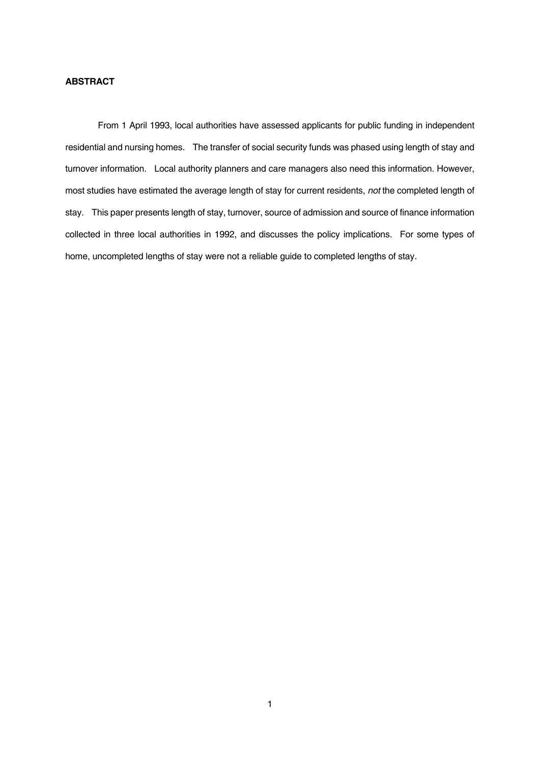## **ABSTRACT**

 From 1 April 1993, local authorities have assessed applicants for public funding in independent residential and nursing homes. The transfer of social security funds was phased using length of stay and turnover information. Local authority planners and care managers also need this information. However, most studies have estimated the average length of stay for current residents, *not* the completed length of stay. This paper presents length of stay, turnover, source of admission and source of finance information collected in three local authorities in 1992, and discusses the policy implications. For some types of home, uncompleted lengths of stay were not a reliable guide to completed lengths of stay.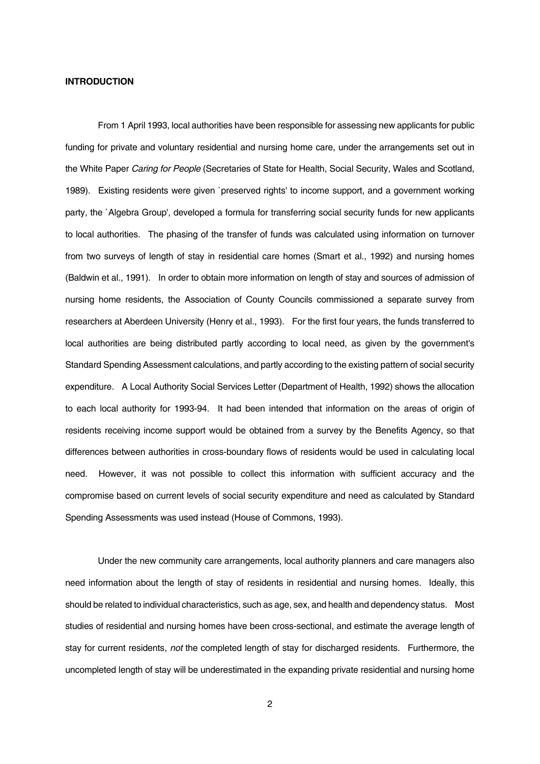#### **INTRODUCTION**

 From 1 April 1993, local authorities have been responsible for assessing new applicants for public funding for private and voluntary residential and nursing home care, under the arrangements set out in the White Paper *Caring for People* (Secretaries of State for Health, Social Security, Wales and Scotland, 1989). Existing residents were given `preserved rights' to income support, and a government working party, the `Algebra Group', developed a formula for transferring social security funds for new applicants to local authorities. The phasing of the transfer of funds was calculated using information on turnover from two surveys of length of stay in residential care homes (Smart et al., 1992) and nursing homes (Baldwin et al., 1991). In order to obtain more information on length of stay and sources of admission of nursing home residents, the Association of County Councils commissioned a separate survey from researchers at Aberdeen University (Henry et al., 1993). For the first four years, the funds transferred to local authorities are being distributed partly according to local need, as given by the government's Standard Spending Assessment calculations, and partly according to the existing pattern of social security expenditure. A Local Authority Social Services Letter (Department of Health, 1992) shows the allocation to each local authority for 1993-94. It had been intended that information on the areas of origin of residents receiving income support would be obtained from a survey by the Benefits Agency, so that differences between authorities in cross-boundary flows of residents would be used in calculating local need. However, it was not possible to collect this information with sufficient accuracy and the compromise based on current levels of social security expenditure and need as calculated by Standard Spending Assessments was used instead (House of Commons, 1993).

 Under the new community care arrangements, local authority planners and care managers also need information about the length of stay of residents in residential and nursing homes. Ideally, this should be related to individual characteristics, such as age, sex, and health and dependency status. Most studies of residential and nursing homes have been cross-sectional, and estimate the average length of stay for current residents, *not* the completed length of stay for discharged residents. Furthermore, the uncompleted length of stay will be underestimated in the expanding private residential and nursing home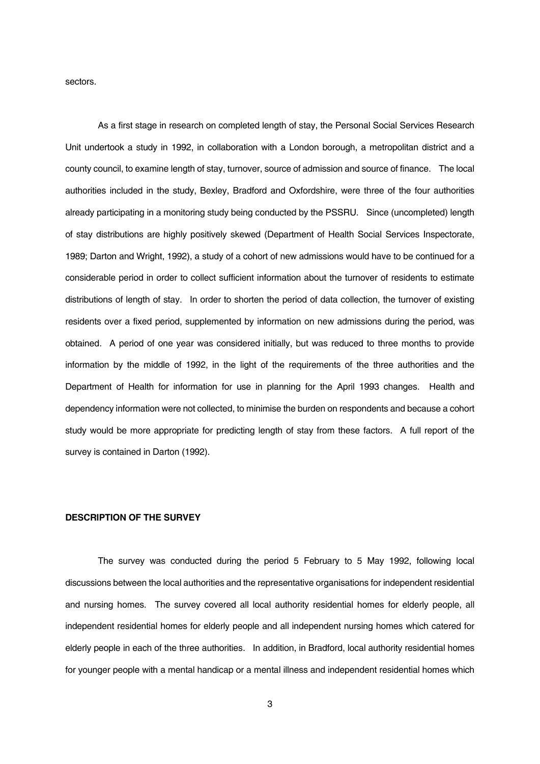sectors.

 As a first stage in research on completed length of stay, the Personal Social Services Research Unit undertook a study in 1992, in collaboration with a London borough, a metropolitan district and a county council, to examine length of stay, turnover, source of admission and source of finance. The local authorities included in the study, Bexley, Bradford and Oxfordshire, were three of the four authorities already participating in a monitoring study being conducted by the PSSRU. Since (uncompleted) length of stay distributions are highly positively skewed (Department of Health Social Services Inspectorate, 1989; Darton and Wright, 1992), a study of a cohort of new admissions would have to be continued for a considerable period in order to collect sufficient information about the turnover of residents to estimate distributions of length of stay. In order to shorten the period of data collection, the turnover of existing residents over a fixed period, supplemented by information on new admissions during the period, was obtained. A period of one year was considered initially, but was reduced to three months to provide information by the middle of 1992, in the light of the requirements of the three authorities and the Department of Health for information for use in planning for the April 1993 changes. Health and dependency information were not collected, to minimise the burden on respondents and because a cohort study would be more appropriate for predicting length of stay from these factors. A full report of the survey is contained in Darton (1992).

#### **DESCRIPTION OF THE SURVEY**

 The survey was conducted during the period 5 February to 5 May 1992, following local discussions between the local authorities and the representative organisations for independent residential and nursing homes. The survey covered all local authority residential homes for elderly people, all independent residential homes for elderly people and all independent nursing homes which catered for elderly people in each of the three authorities. In addition, in Bradford, local authority residential homes for younger people with a mental handicap or a mental illness and independent residential homes which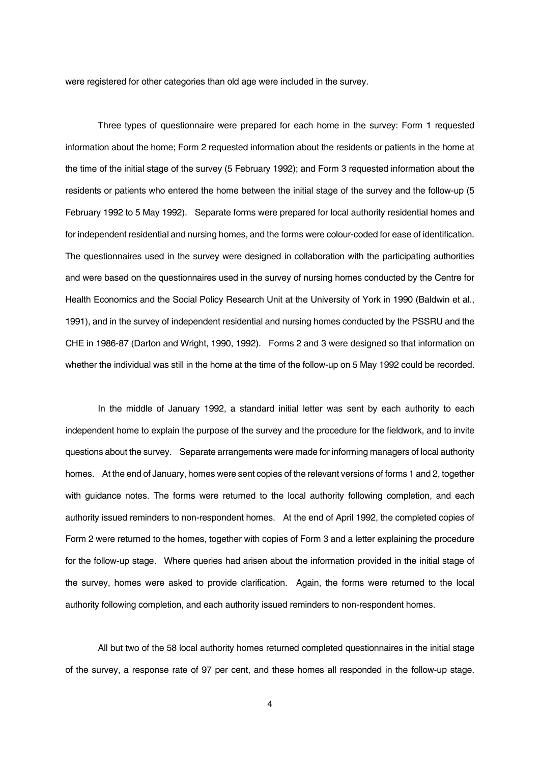were registered for other categories than old age were included in the survey.

 Three types of questionnaire were prepared for each home in the survey: Form 1 requested information about the home; Form 2 requested information about the residents or patients in the home at the time of the initial stage of the survey (5 February 1992); and Form 3 requested information about the residents or patients who entered the home between the initial stage of the survey and the follow-up (5 February 1992 to 5 May 1992). Separate forms were prepared for local authority residential homes and for independent residential and nursing homes, and the forms were colour-coded for ease of identification. The questionnaires used in the survey were designed in collaboration with the participating authorities and were based on the questionnaires used in the survey of nursing homes conducted by the Centre for Health Economics and the Social Policy Research Unit at the University of York in 1990 (Baldwin et al., 1991), and in the survey of independent residential and nursing homes conducted by the PSSRU and the CHE in 1986-87 (Darton and Wright, 1990, 1992). Forms 2 and 3 were designed so that information on whether the individual was still in the home at the time of the follow-up on 5 May 1992 could be recorded.

 In the middle of January 1992, a standard initial letter was sent by each authority to each independent home to explain the purpose of the survey and the procedure for the fieldwork, and to invite questions about the survey. Separate arrangements were made for informing managers of local authority homes. At the end of January, homes were sent copies of the relevant versions of forms 1 and 2, together with guidance notes. The forms were returned to the local authority following completion, and each authority issued reminders to non-respondent homes. At the end of April 1992, the completed copies of Form 2 were returned to the homes, together with copies of Form 3 and a letter explaining the procedure for the follow-up stage. Where queries had arisen about the information provided in the initial stage of the survey, homes were asked to provide clarification. Again, the forms were returned to the local authority following completion, and each authority issued reminders to non-respondent homes.

 All but two of the 58 local authority homes returned completed questionnaires in the initial stage of the survey, a response rate of 97 per cent, and these homes all responded in the follow-up stage.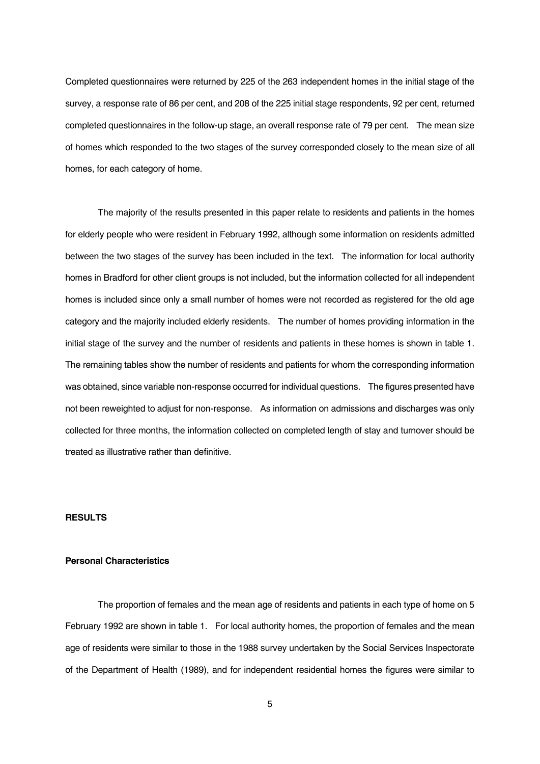Completed questionnaires were returned by 225 of the 263 independent homes in the initial stage of the survey, a response rate of 86 per cent, and 208 of the 225 initial stage respondents, 92 per cent, returned completed questionnaires in the follow-up stage, an overall response rate of 79 per cent. The mean size of homes which responded to the two stages of the survey corresponded closely to the mean size of all homes, for each category of home.

 The majority of the results presented in this paper relate to residents and patients in the homes for elderly people who were resident in February 1992, although some information on residents admitted between the two stages of the survey has been included in the text. The information for local authority homes in Bradford for other client groups is not included, but the information collected for all independent homes is included since only a small number of homes were not recorded as registered for the old age category and the majority included elderly residents. The number of homes providing information in the initial stage of the survey and the number of residents and patients in these homes is shown in table 1. The remaining tables show the number of residents and patients for whom the corresponding information was obtained, since variable non-response occurred for individual questions. The figures presented have not been reweighted to adjust for non-response. As information on admissions and discharges was only collected for three months, the information collected on completed length of stay and turnover should be treated as illustrative rather than definitive.

#### **RESULTS**

## **Personal Characteristics**

 The proportion of females and the mean age of residents and patients in each type of home on 5 February 1992 are shown in table 1. For local authority homes, the proportion of females and the mean age of residents were similar to those in the 1988 survey undertaken by the Social Services Inspectorate of the Department of Health (1989), and for independent residential homes the figures were similar to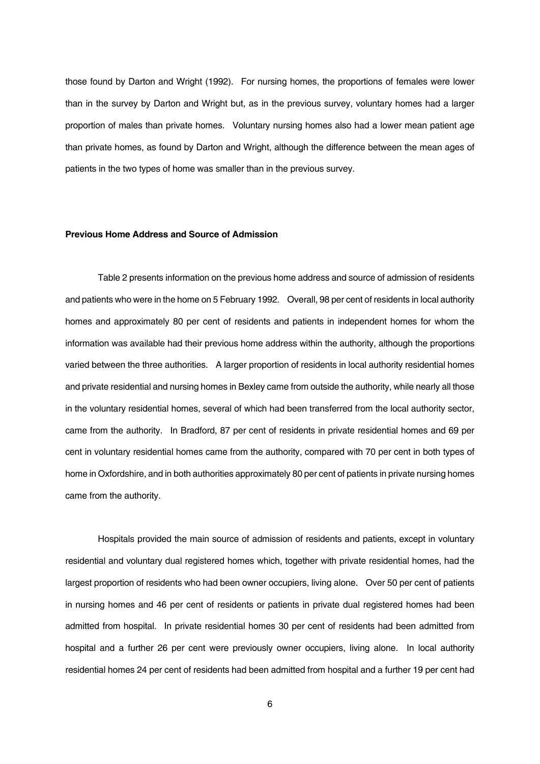those found by Darton and Wright (1992). For nursing homes, the proportions of females were lower than in the survey by Darton and Wright but, as in the previous survey, voluntary homes had a larger proportion of males than private homes. Voluntary nursing homes also had a lower mean patient age than private homes, as found by Darton and Wright, although the difference between the mean ages of patients in the two types of home was smaller than in the previous survey.

#### **Previous Home Address and Source of Admission**

 Table 2 presents information on the previous home address and source of admission of residents and patients who were in the home on 5 February 1992. Overall, 98 per cent of residents in local authority homes and approximately 80 per cent of residents and patients in independent homes for whom the information was available had their previous home address within the authority, although the proportions varied between the three authorities. A larger proportion of residents in local authority residential homes and private residential and nursing homes in Bexley came from outside the authority, while nearly all those in the voluntary residential homes, several of which had been transferred from the local authority sector, came from the authority. In Bradford, 87 per cent of residents in private residential homes and 69 per cent in voluntary residential homes came from the authority, compared with 70 per cent in both types of home in Oxfordshire, and in both authorities approximately 80 per cent of patients in private nursing homes came from the authority.

 Hospitals provided the main source of admission of residents and patients, except in voluntary residential and voluntary dual registered homes which, together with private residential homes, had the largest proportion of residents who had been owner occupiers, living alone. Over 50 per cent of patients in nursing homes and 46 per cent of residents or patients in private dual registered homes had been admitted from hospital. In private residential homes 30 per cent of residents had been admitted from hospital and a further 26 per cent were previously owner occupiers, living alone. In local authority residential homes 24 per cent of residents had been admitted from hospital and a further 19 per cent had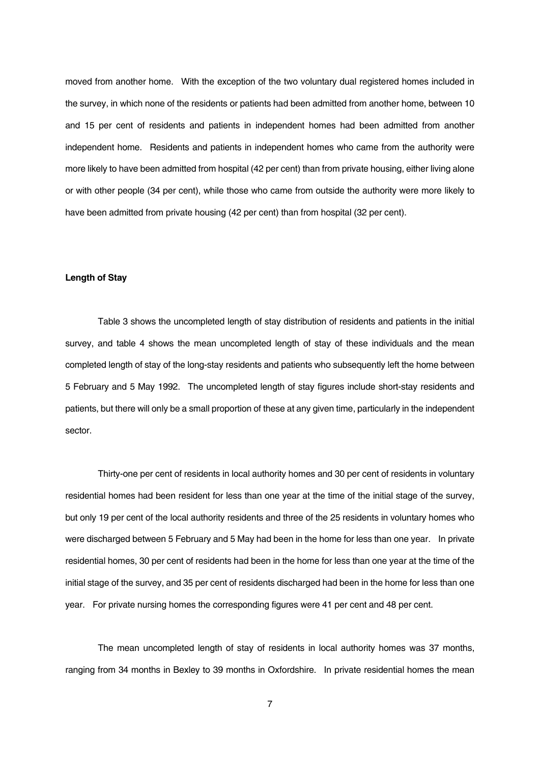moved from another home. With the exception of the two voluntary dual registered homes included in the survey, in which none of the residents or patients had been admitted from another home, between 10 and 15 per cent of residents and patients in independent homes had been admitted from another independent home. Residents and patients in independent homes who came from the authority were more likely to have been admitted from hospital (42 per cent) than from private housing, either living alone or with other people (34 per cent), while those who came from outside the authority were more likely to have been admitted from private housing (42 per cent) than from hospital (32 per cent).

#### **Length of Stay**

 Table 3 shows the uncompleted length of stay distribution of residents and patients in the initial survey, and table 4 shows the mean uncompleted length of stay of these individuals and the mean completed length of stay of the long-stay residents and patients who subsequently left the home between 5 February and 5 May 1992. The uncompleted length of stay figures include short-stay residents and patients, but there will only be a small proportion of these at any given time, particularly in the independent sector.

 Thirty-one per cent of residents in local authority homes and 30 per cent of residents in voluntary residential homes had been resident for less than one year at the time of the initial stage of the survey, but only 19 per cent of the local authority residents and three of the 25 residents in voluntary homes who were discharged between 5 February and 5 May had been in the home for less than one year. In private residential homes, 30 per cent of residents had been in the home for less than one year at the time of the initial stage of the survey, and 35 per cent of residents discharged had been in the home for less than one year. For private nursing homes the corresponding figures were 41 per cent and 48 per cent.

 The mean uncompleted length of stay of residents in local authority homes was 37 months, ranging from 34 months in Bexley to 39 months in Oxfordshire. In private residential homes the mean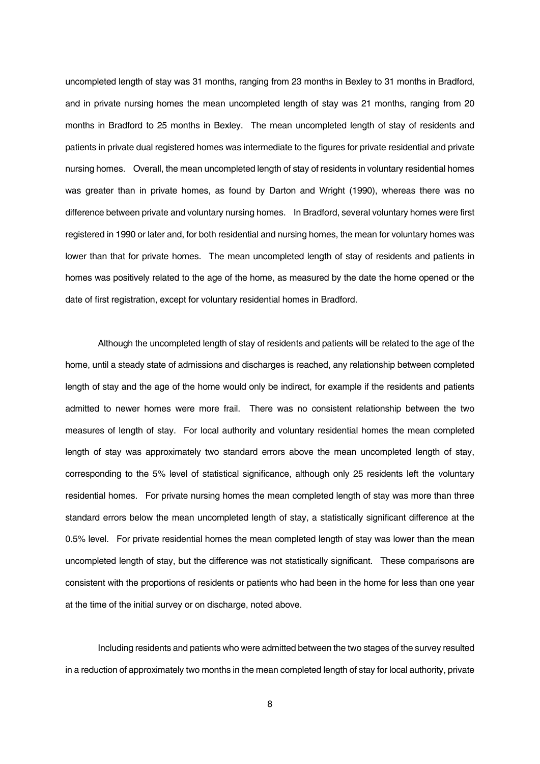uncompleted length of stay was 31 months, ranging from 23 months in Bexley to 31 months in Bradford, and in private nursing homes the mean uncompleted length of stay was 21 months, ranging from 20 months in Bradford to 25 months in Bexley. The mean uncompleted length of stay of residents and patients in private dual registered homes was intermediate to the figures for private residential and private nursing homes. Overall, the mean uncompleted length of stay of residents in voluntary residential homes was greater than in private homes, as found by Darton and Wright (1990), whereas there was no difference between private and voluntary nursing homes. In Bradford, several voluntary homes were first registered in 1990 or later and, for both residential and nursing homes, the mean for voluntary homes was lower than that for private homes. The mean uncompleted length of stay of residents and patients in homes was positively related to the age of the home, as measured by the date the home opened or the date of first registration, except for voluntary residential homes in Bradford.

 Although the uncompleted length of stay of residents and patients will be related to the age of the home, until a steady state of admissions and discharges is reached, any relationship between completed length of stay and the age of the home would only be indirect, for example if the residents and patients admitted to newer homes were more frail. There was no consistent relationship between the two measures of length of stay. For local authority and voluntary residential homes the mean completed length of stay was approximately two standard errors above the mean uncompleted length of stay, corresponding to the 5% level of statistical significance, although only 25 residents left the voluntary residential homes. For private nursing homes the mean completed length of stay was more than three standard errors below the mean uncompleted length of stay, a statistically significant difference at the 0.5% level. For private residential homes the mean completed length of stay was lower than the mean uncompleted length of stay, but the difference was not statistically significant. These comparisons are consistent with the proportions of residents or patients who had been in the home for less than one year at the time of the initial survey or on discharge, noted above.

 Including residents and patients who were admitted between the two stages of the survey resulted in a reduction of approximately two months in the mean completed length of stay for local authority, private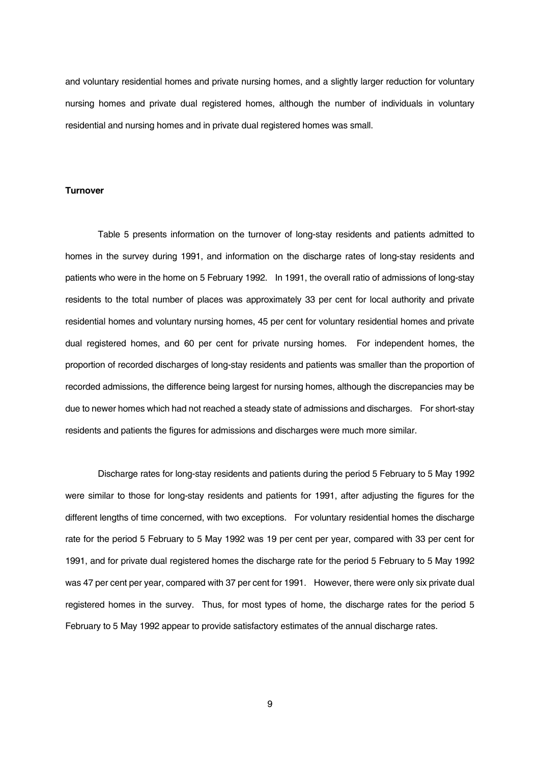and voluntary residential homes and private nursing homes, and a slightly larger reduction for voluntary nursing homes and private dual registered homes, although the number of individuals in voluntary residential and nursing homes and in private dual registered homes was small.

#### **Turnover**

 Table 5 presents information on the turnover of long-stay residents and patients admitted to homes in the survey during 1991, and information on the discharge rates of long-stay residents and patients who were in the home on 5 February 1992. In 1991, the overall ratio of admissions of long-stay residents to the total number of places was approximately 33 per cent for local authority and private residential homes and voluntary nursing homes, 45 per cent for voluntary residential homes and private dual registered homes, and 60 per cent for private nursing homes. For independent homes, the proportion of recorded discharges of long-stay residents and patients was smaller than the proportion of recorded admissions, the difference being largest for nursing homes, although the discrepancies may be due to newer homes which had not reached a steady state of admissions and discharges. For short-stay residents and patients the figures for admissions and discharges were much more similar.

 Discharge rates for long-stay residents and patients during the period 5 February to 5 May 1992 were similar to those for long-stay residents and patients for 1991, after adjusting the figures for the different lengths of time concerned, with two exceptions. For voluntary residential homes the discharge rate for the period 5 February to 5 May 1992 was 19 per cent per year, compared with 33 per cent for 1991, and for private dual registered homes the discharge rate for the period 5 February to 5 May 1992 was 47 per cent per year, compared with 37 per cent for 1991. However, there were only six private dual registered homes in the survey. Thus, for most types of home, the discharge rates for the period 5 February to 5 May 1992 appear to provide satisfactory estimates of the annual discharge rates.

9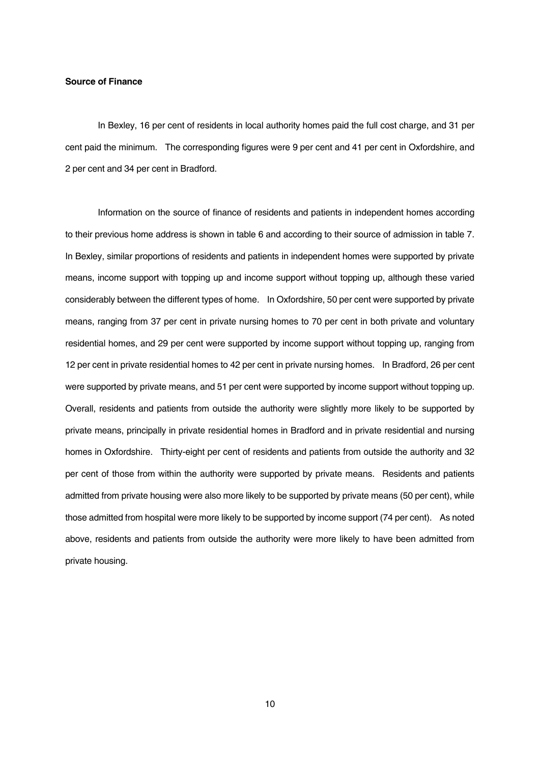#### **Source of Finance**

 In Bexley, 16 per cent of residents in local authority homes paid the full cost charge, and 31 per cent paid the minimum. The corresponding figures were 9 per cent and 41 per cent in Oxfordshire, and 2 per cent and 34 per cent in Bradford.

 Information on the source of finance of residents and patients in independent homes according to their previous home address is shown in table 6 and according to their source of admission in table 7. In Bexley, similar proportions of residents and patients in independent homes were supported by private means, income support with topping up and income support without topping up, although these varied considerably between the different types of home. In Oxfordshire, 50 per cent were supported by private means, ranging from 37 per cent in private nursing homes to 70 per cent in both private and voluntary residential homes, and 29 per cent were supported by income support without topping up, ranging from 12 per cent in private residential homes to 42 per cent in private nursing homes. In Bradford, 26 per cent were supported by private means, and 51 per cent were supported by income support without topping up. Overall, residents and patients from outside the authority were slightly more likely to be supported by private means, principally in private residential homes in Bradford and in private residential and nursing homes in Oxfordshire. Thirty-eight per cent of residents and patients from outside the authority and 32 per cent of those from within the authority were supported by private means. Residents and patients admitted from private housing were also more likely to be supported by private means (50 per cent), while those admitted from hospital were more likely to be supported by income support (74 per cent). As noted above, residents and patients from outside the authority were more likely to have been admitted from private housing.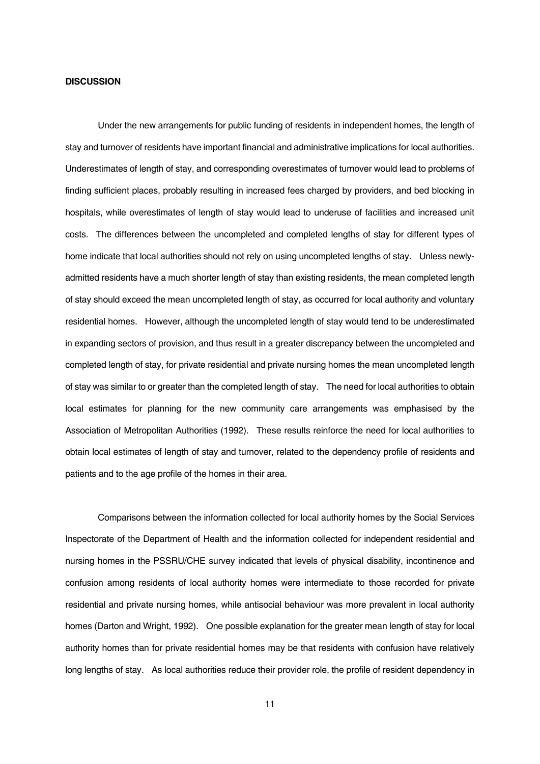#### **DISCUSSION**

 Under the new arrangements for public funding of residents in independent homes, the length of stay and turnover of residents have important financial and administrative implications for local authorities. Underestimates of length of stay, and corresponding overestimates of turnover would lead to problems of finding sufficient places, probably resulting in increased fees charged by providers, and bed blocking in hospitals, while overestimates of length of stay would lead to underuse of facilities and increased unit costs. The differences between the uncompleted and completed lengths of stay for different types of home indicate that local authorities should not rely on using uncompleted lengths of stay. Unless newlyadmitted residents have a much shorter length of stay than existing residents, the mean completed length of stay should exceed the mean uncompleted length of stay, as occurred for local authority and voluntary residential homes. However, although the uncompleted length of stay would tend to be underestimated in expanding sectors of provision, and thus result in a greater discrepancy between the uncompleted and completed length of stay, for private residential and private nursing homes the mean uncompleted length of stay was similar to or greater than the completed length of stay. The need for local authorities to obtain local estimates for planning for the new community care arrangements was emphasised by the Association of Metropolitan Authorities (1992). These results reinforce the need for local authorities to obtain local estimates of length of stay and turnover, related to the dependency profile of residents and patients and to the age profile of the homes in their area.

 Comparisons between the information collected for local authority homes by the Social Services Inspectorate of the Department of Health and the information collected for independent residential and nursing homes in the PSSRU/CHE survey indicated that levels of physical disability, incontinence and confusion among residents of local authority homes were intermediate to those recorded for private residential and private nursing homes, while antisocial behaviour was more prevalent in local authority homes (Darton and Wright, 1992). One possible explanation for the greater mean length of stay for local authority homes than for private residential homes may be that residents with confusion have relatively long lengths of stay. As local authorities reduce their provider role, the profile of resident dependency in

11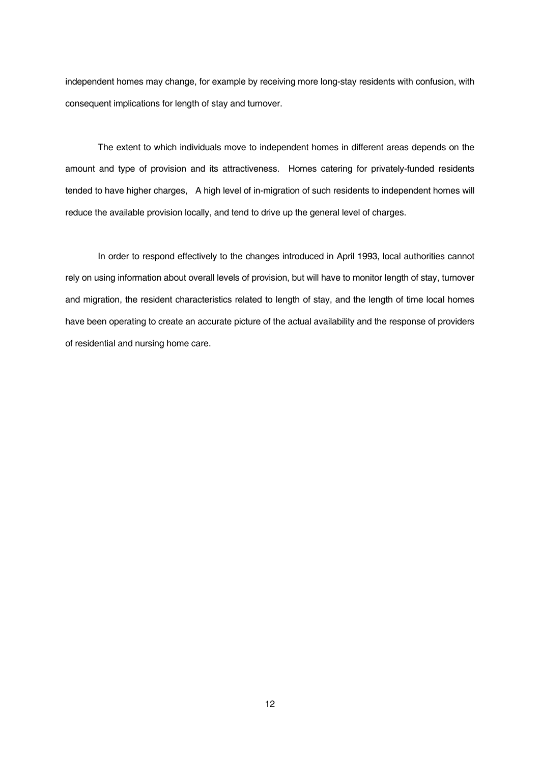independent homes may change, for example by receiving more long-stay residents with confusion, with consequent implications for length of stay and turnover.

 The extent to which individuals move to independent homes in different areas depends on the amount and type of provision and its attractiveness. Homes catering for privately-funded residents tended to have higher charges, A high level of in-migration of such residents to independent homes will reduce the available provision locally, and tend to drive up the general level of charges.

 In order to respond effectively to the changes introduced in April 1993, local authorities cannot rely on using information about overall levels of provision, but will have to monitor length of stay, turnover and migration, the resident characteristics related to length of stay, and the length of time local homes have been operating to create an accurate picture of the actual availability and the response of providers of residential and nursing home care.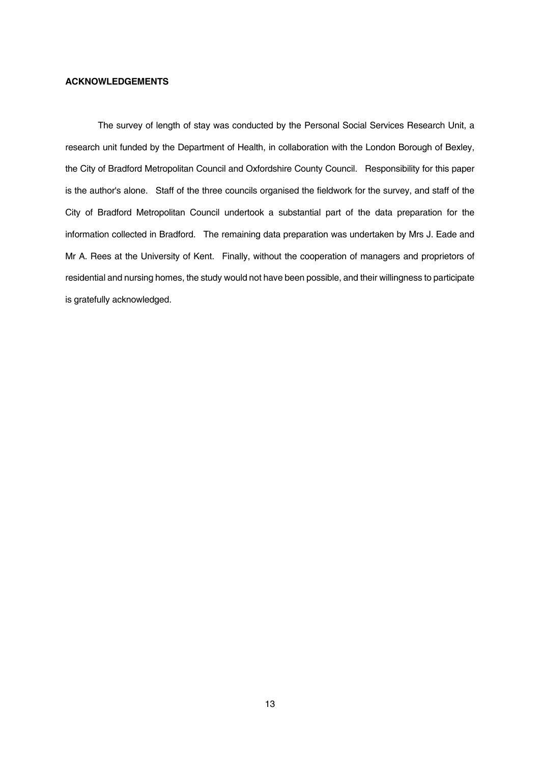#### **ACKNOWLEDGEMENTS**

 The survey of length of stay was conducted by the Personal Social Services Research Unit, a research unit funded by the Department of Health, in collaboration with the London Borough of Bexley, the City of Bradford Metropolitan Council and Oxfordshire County Council. Responsibility for this paper is the author's alone. Staff of the three councils organised the fieldwork for the survey, and staff of the City of Bradford Metropolitan Council undertook a substantial part of the data preparation for the information collected in Bradford. The remaining data preparation was undertaken by Mrs J. Eade and Mr A. Rees at the University of Kent. Finally, without the cooperation of managers and proprietors of residential and nursing homes, the study would not have been possible, and their willingness to participate is gratefully acknowledged.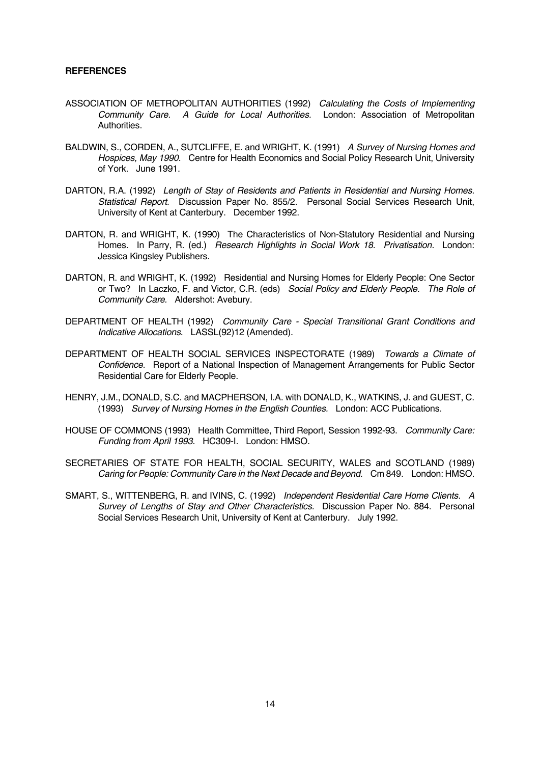#### **REFERENCES**

- ASSOCIATION OF METROPOLITAN AUTHORITIES (1992) *Calculating the Costs of Implementing Community Care. A Guide for Local Authorities.* London: Association of Metropolitan Authorities.
- BALDWIN, S., CORDEN, A., SUTCLIFFE, E. and WRIGHT, K. (1991) *A Survey of Nursing Homes and Hospices, May 1990.* Centre for Health Economics and Social Policy Research Unit, University of York. June 1991.
- DARTON, R.A. (1992) *Length of Stay of Residents and Patients in Residential and Nursing Homes. Statistical Report.* Discussion Paper No. 855/2. Personal Social Services Research Unit, University of Kent at Canterbury. December 1992.
- DARTON, R. and WRIGHT, K. (1990) The Characteristics of Non-Statutory Residential and Nursing Homes. In Parry, R. (ed.) *Research Highlights in Social Work 18. Privatisation.* London: Jessica Kingsley Publishers.
- DARTON, R. and WRIGHT, K. (1992) Residential and Nursing Homes for Elderly People: One Sector or Two? In Laczko, F. and Victor, C.R. (eds) *Social Policy and Elderly People. The Role of Community Care.* Aldershot: Avebury.
- DEPARTMENT OF HEALTH (1992) *Community Care Special Transitional Grant Conditions and Indicative Allocations.* LASSL(92)12 (Amended).
- DEPARTMENT OF HEALTH SOCIAL SERVICES INSPECTORATE (1989) *Towards a Climate of Confidence.* Report of a National Inspection of Management Arrangements for Public Sector Residential Care for Elderly People.
- HENRY, J.M., DONALD, S.C. and MACPHERSON, I.A. with DONALD, K., WATKINS, J. and GUEST, C. (1993) *Survey of Nursing Homes in the English Counties.* London: ACC Publications.
- HOUSE OF COMMONS (1993) Health Committee, Third Report, Session 1992-93. *Community Care: Funding from April 1993.* HC309-I. London: HMSO.
- SECRETARIES OF STATE FOR HEALTH, SOCIAL SECURITY, WALES and SCOTLAND (1989) *Caring for People: Community Care in the Next Decade and Beyond.* Cm 849. London: HMSO.
- SMART, S., WITTENBERG, R. and IVINS, C. (1992) *Independent Residential Care Home Clients. A Survey of Lengths of Stay and Other Characteristics.* Discussion Paper No. 884. Personal Social Services Research Unit, University of Kent at Canterbury. July 1992.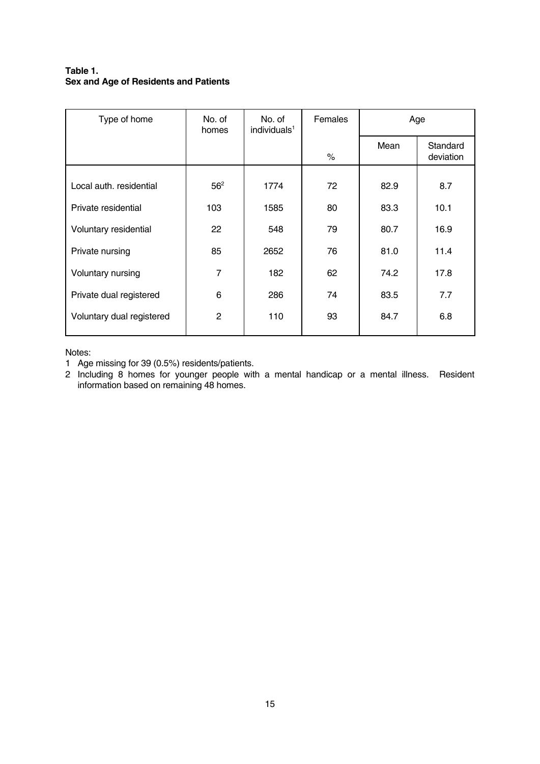# **Table 1. Sex and Age of Residents and Patients**

| Type of home              | No. of<br>homes | No. of<br>individuals <sup>1</sup> | Females | Age  |                       |
|---------------------------|-----------------|------------------------------------|---------|------|-----------------------|
|                           |                 |                                    | %       | Mean | Standard<br>deviation |
|                           |                 |                                    |         |      |                       |
| Local auth. residential   | 56 <sup>2</sup> | 1774                               | 72      | 82.9 | 8.7                   |
| Private residential       | 103             | 1585                               | 80      | 83.3 | 10.1                  |
| Voluntary residential     | 22              | 548                                | 79      | 80.7 | 16.9                  |
| Private nursing           | 85              | 2652                               | 76      | 81.0 | 11.4                  |
| Voluntary nursing         | $\overline{7}$  | 182                                | 62      | 74.2 | 17.8                  |
| Private dual registered   | 6               | 286                                | 74      | 83.5 | 7.7                   |
| Voluntary dual registered | $\mathbf{2}$    | 110                                | 93      | 84.7 | 6.8                   |

## Notes:

1 Age missing for 39 (0.5%) residents/patients.

2 Including 8 homes for younger people with a mental handicap or a mental illness. Resident information based on remaining 48 homes.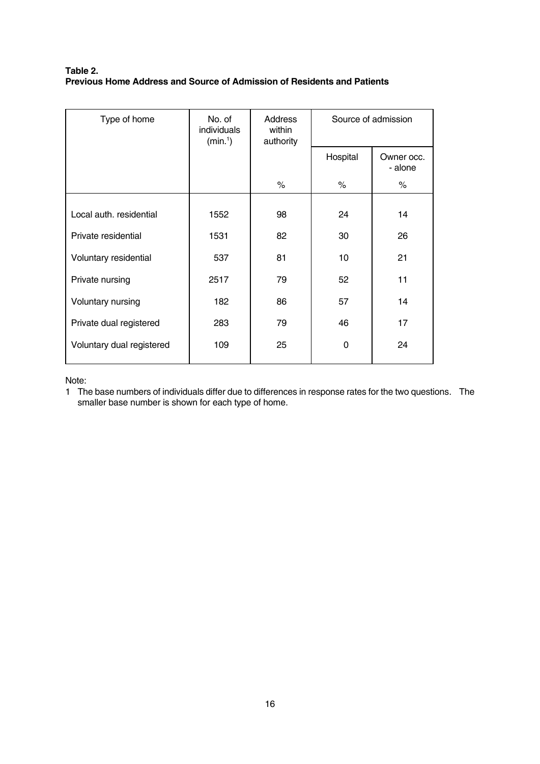# **Table 2. Previous Home Address and Source of Admission of Residents and Patients**

| Type of home              | No. of<br>individuals<br>(min.) | Address<br>within<br>authority | Source of admission |                       |
|---------------------------|---------------------------------|--------------------------------|---------------------|-----------------------|
|                           |                                 |                                | Hospital            | Owner occ.<br>- alone |
|                           |                                 | $\%$                           | $\%$                | $\%$                  |
|                           |                                 |                                |                     |                       |
| Local auth. residential   | 1552                            | 98                             | 24                  | 14                    |
| Private residential       | 1531                            | 82                             | 30                  | 26                    |
| Voluntary residential     | 537                             | 81                             | 10                  | 21                    |
| Private nursing           | 2517                            | 79                             | 52                  | 11                    |
| Voluntary nursing         | 182                             | 86                             | 57                  | 14                    |
| Private dual registered   | 283                             | 79                             | 46                  | 17                    |
| Voluntary dual registered | 109                             | 25                             | $\Omega$            | 24                    |

Note:

1 The base numbers of individuals differ due to differences in response rates for the two questions. The smaller base number is shown for each type of home.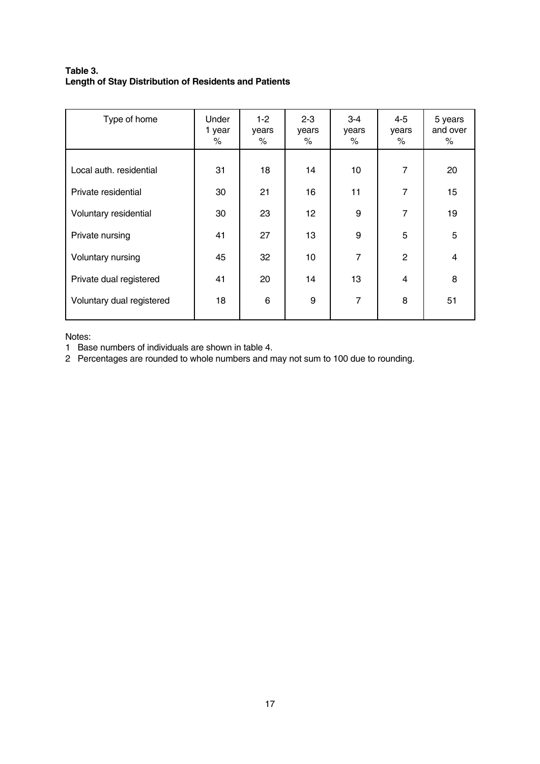# **Table 3. Length of Stay Distribution of Residents and Patients**

| Type of home              | Under<br>1 year<br>% | $1-2$<br>years<br>% | $2 - 3$<br>years<br>% | $3 - 4$<br>years<br>% | 4-5<br>years<br>$\%$ | 5 years<br>and over<br>% |
|---------------------------|----------------------|---------------------|-----------------------|-----------------------|----------------------|--------------------------|
| Local auth. residential   | 31                   | 18                  | 14                    | 10                    | $\overline{7}$       | 20                       |
| Private residential       | 30                   | 21                  | 16                    | 11                    | $\overline{7}$       | 15                       |
| Voluntary residential     | 30                   | 23                  | 12                    | 9                     | $\overline{7}$       | 19                       |
| Private nursing           | 41                   | 27                  | 13                    | 9                     | 5                    | 5                        |
| Voluntary nursing         | 45                   | 32                  | 10                    | $\overline{7}$        | 2                    | 4                        |
| Private dual registered   | 41                   | 20                  | 14                    | 13                    | 4                    | 8                        |
| Voluntary dual registered | 18                   | 6                   | 9                     | $\overline{7}$        | 8                    | 51                       |

Notes:

1 Base numbers of individuals are shown in table 4.

2 Percentages are rounded to whole numbers and may not sum to 100 due to rounding.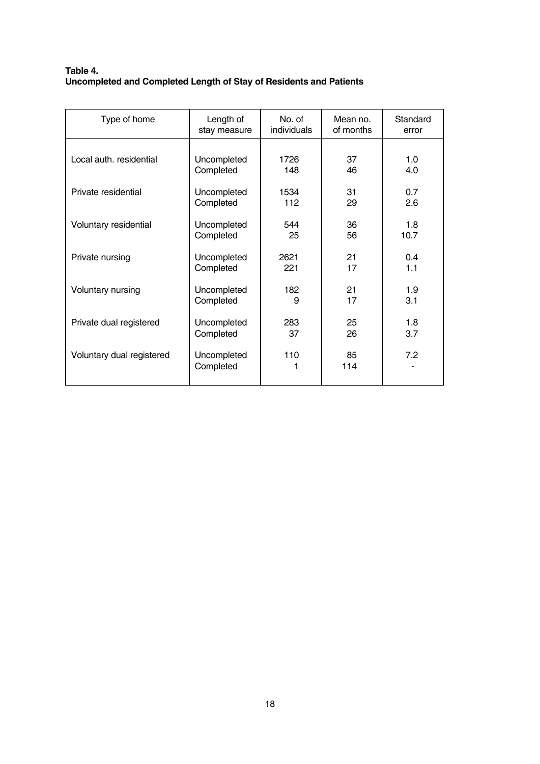# **Table 4. Uncompleted and Completed Length of Stay of Residents and Patients**

| Type of home              | Length of                | No. of      | Mean no.  | Standard |
|---------------------------|--------------------------|-------------|-----------|----------|
|                           | stay measure             | individuals | of months | error    |
| Local auth. residential   | Uncompleted              | 1726        | 37        | 1.0      |
|                           | Completed                | 148         | 46        | 4.0      |
| Private residential       | Uncompleted              | 1534        | 31        | 0.7      |
|                           | Completed                | 112         | 29        | 2.6      |
| Voluntary residential     | Uncompleted              | 544         | 36        | 1.8      |
|                           | Completed                | 25          | 56        | 10.7     |
| Private nursing           | Uncompleted              | 2621        | 21        | 0.4      |
|                           | Completed                | 221         | 17        | 1.1      |
| Voluntary nursing         | Uncompleted              | 182         | 21        | 1.9      |
|                           | Completed                | 9           | 17        | 3.1      |
| Private dual registered   | Uncompleted              | 283         | 25        | 1.8      |
|                           | Completed                | 37          | 26        | 3.7      |
| Voluntary dual registered | Uncompleted<br>Completed | 110         | 85<br>114 | 7.2      |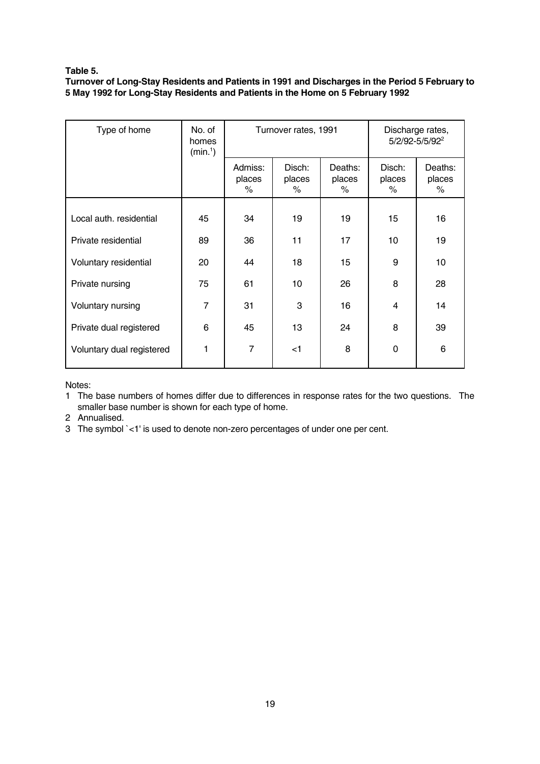## **Table 5.**

**Turnover of Long-Stay Residents and Patients in 1991 and Discharges in the Period 5 February to 5 May 1992 for Long-Stay Residents and Patients in the Home on 5 February 1992** 

| Type of home              | No. of<br>homes<br>(min.) |                        | Turnover rates, 1991  | Discharge rates,<br>5/2/92-5/5/92 <sup>2</sup> |                       |                        |
|---------------------------|---------------------------|------------------------|-----------------------|------------------------------------------------|-----------------------|------------------------|
|                           |                           | Admiss:<br>places<br>% | Disch:<br>places<br>% | Deaths:<br>places<br>%                         | Disch:<br>places<br>% | Deaths:<br>places<br>% |
|                           |                           |                        |                       |                                                |                       |                        |
| Local auth. residential   | 45                        | 34                     | 19                    | 19                                             | 15                    | 16                     |
| Private residential       | 89                        | 36                     | 11                    | 17                                             | 10                    | 19                     |
| Voluntary residential     | 20                        | 44                     | 18                    | 15                                             | 9                     | 10                     |
| Private nursing           | 75                        | 61                     | 10                    | 26                                             | 8                     | 28                     |
| Voluntary nursing         | $\overline{7}$            | 31                     | 3                     | 16                                             | 4                     | 14                     |
| Private dual registered   | 6                         | 45                     | 13                    | 24                                             | 8                     | 39                     |
| Voluntary dual registered | 1                         | $\overline{7}$         | $<$ 1                 | 8                                              | $\Omega$              | 6                      |

Notes:

1 The base numbers of homes differ due to differences in response rates for the two questions. The smaller base number is shown for each type of home.

2 Annualised.

3 The symbol `<1' is used to denote non-zero percentages of under one per cent.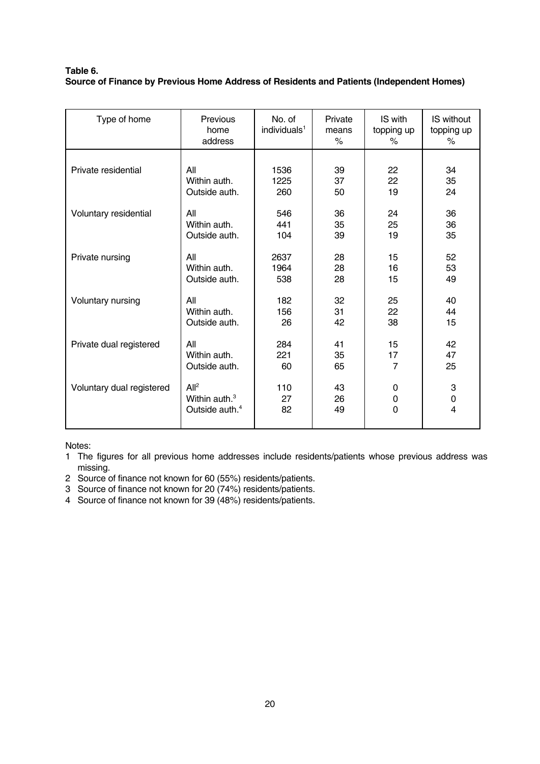## **Table 6. Source of Finance by Previous Home Address of Residents and Patients (Independent Homes)**

| Type of home              | Previous<br>home<br>address | No. of<br>individuals <sup>1</sup> | Private<br>means<br>% | IS with<br>topping up<br>% | IS without<br>topping up<br>% |
|---------------------------|-----------------------------|------------------------------------|-----------------------|----------------------------|-------------------------------|
| Private residential       | All                         | 1536                               | 39                    | 22                         | 34                            |
|                           | Within auth.                | 1225                               | 37                    | 22                         | 35                            |
|                           | Outside auth.               | 260                                | 50                    | 19                         | 24                            |
| Voluntary residential     | All                         | 546                                | 36                    | 24                         | 36                            |
|                           | Within auth.                | 441                                | 35                    | 25                         | 36                            |
|                           | Outside auth.               | 104                                | 39                    | 19                         | 35                            |
| Private nursing           | All                         | 2637                               | 28                    | 15                         | 52                            |
|                           | Within auth.                | 1964                               | 28                    | 16                         | 53                            |
|                           | Outside auth.               | 538                                | 28                    | 15                         | 49                            |
| Voluntary nursing         | All                         | 182                                | 32                    | 25                         | 40                            |
|                           | Within auth.                | 156                                | 31                    | 22                         | 44                            |
|                           | Outside auth.               | 26                                 | 42                    | 38                         | 15                            |
| Private dual registered   | All                         | 284                                | 41                    | 15                         | 42                            |
|                           | Within auth.                | 221                                | 35                    | 17                         | 47                            |
|                           | Outside auth.               | 60                                 | 65                    | 7                          | 25                            |
| Voluntary dual registered | All <sup>2</sup>            | 110                                | 43                    | $\mathbf{0}$               | 3                             |
|                           | Within auth. <sup>3</sup>   | 27                                 | 26                    | $\Omega$                   | 0                             |
|                           | Outside auth. <sup>4</sup>  | 82                                 | 49                    | $\mathbf 0$                | 4                             |

Notes:

1 The figures for all previous home addresses include residents/patients whose previous address was missing.

- 2 Source of finance not known for 60 (55%) residents/patients.
- 3 Source of finance not known for 20 (74%) residents/patients.
- 4 Source of finance not known for 39 (48%) residents/patients.